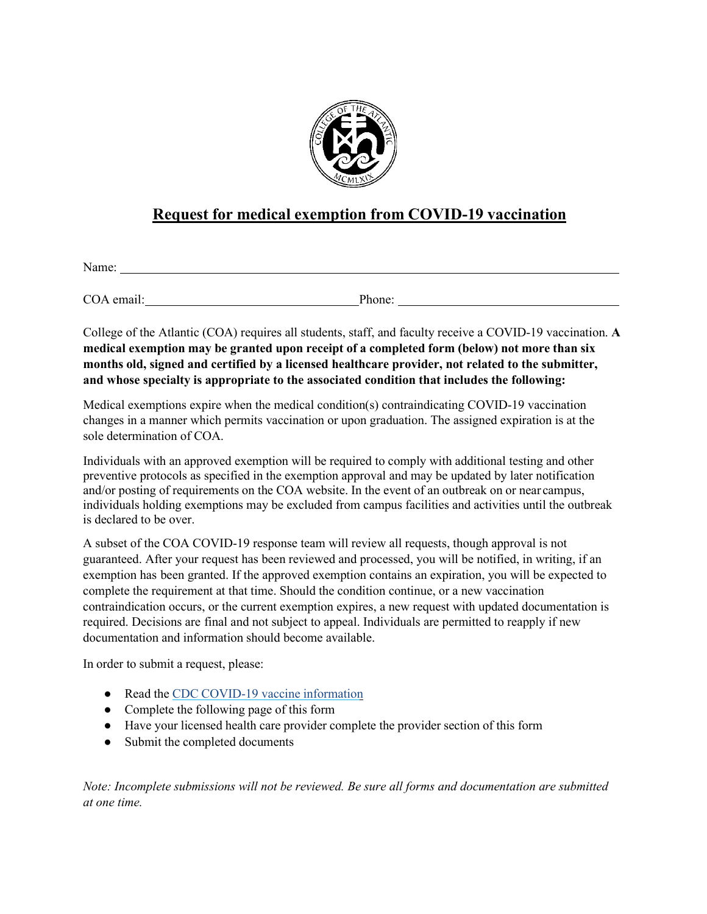

# **Request for medical exemption from COVID-19 vaccination**

Name:

COA email: Phone:

College of the Atlantic (COA) requires all students, staff, and faculty receive a COVID-19 vaccination. **A medical exemption may be granted upon receipt of a completed form (below) not more than six months old, signed and certified by a licensed healthcare provider, not related to the submitter, and whose specialty is appropriate to the associated condition that includes the following:**

Medical exemptions expire when the medical condition(s) contraindicating COVID-19 vaccination changes in a manner which permits vaccination or upon graduation. The assigned expiration is at the sole determination of COA.

Individuals with an approved exemption will be required to comply with additional testing and other preventive protocols as specified in the exemption approval and may be updated by later notification and/or posting of requirements on the COA website. In the event of an outbreak on or near campus, individuals holding exemptions may be excluded from campus facilities and activities until the outbreak is declared to be over.

A subset of the COA COVID-19 response team will review all requests, though approval is not guaranteed. After your request has been reviewed and processed, you will be notified, in writing, if an exemption has been granted. If the approved exemption contains an expiration, you will be expected to complete the requirement at that time. Should the condition continue, or a new vaccination contraindication occurs, or the current exemption expires, a new request with updated documentation is required. Decisions are final and not subject to appeal. Individuals are permitted to reapply if new documentation and information should become available.

In order to submit a request, please:

- Read the CDC COVID-19 vaccine [information](https://www.cdc.gov/coronavirus/2019-ncov/vaccines/keythingstoknow.html?s_cid=10496%3Acovid%2019%20vaccine%20information%3Asem.ga%3Ap%3ARG%3AGM%3Agen%3APTN%3AFY21)
- Complete the following page of this form
- Have your licensed health care provider complete the provider section of this form
- Submit the completed documents

*Note: Incomplete submissions will not be reviewed. Be sure all forms and documentation are submitted at one time.*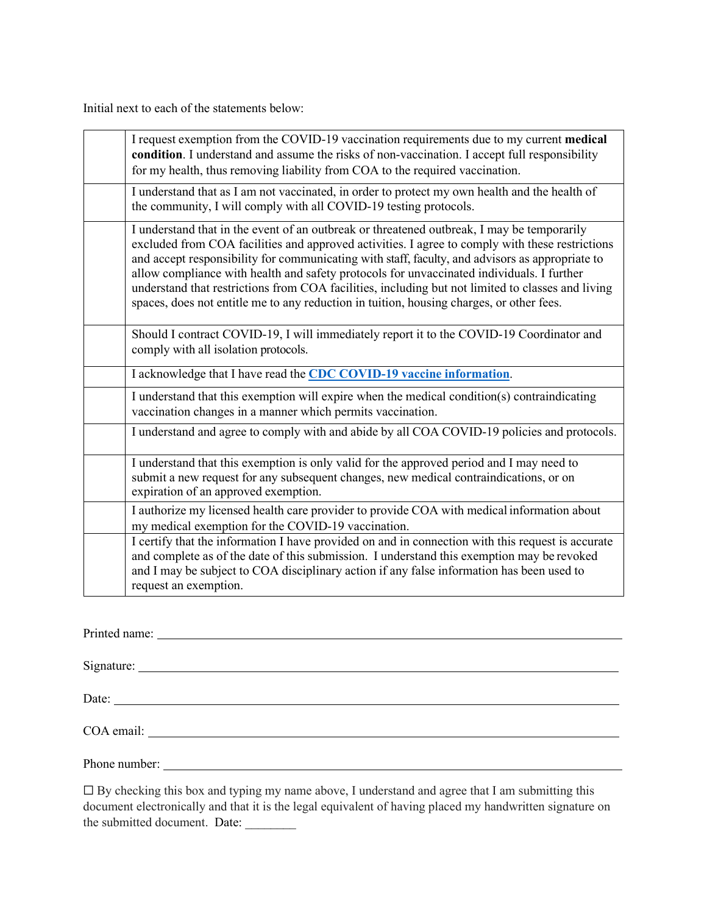Initial next to each of the statements below:

| I request exemption from the COVID-19 vaccination requirements due to my current medical<br>condition. I understand and assume the risks of non-vaccination. I accept full responsibility<br>for my health, thus removing liability from COA to the required vaccination.                                                                                                                                                                                                                                                                                                                      |  |
|------------------------------------------------------------------------------------------------------------------------------------------------------------------------------------------------------------------------------------------------------------------------------------------------------------------------------------------------------------------------------------------------------------------------------------------------------------------------------------------------------------------------------------------------------------------------------------------------|--|
| I understand that as I am not vaccinated, in order to protect my own health and the health of<br>the community, I will comply with all COVID-19 testing protocols.                                                                                                                                                                                                                                                                                                                                                                                                                             |  |
| I understand that in the event of an outbreak or threatened outbreak, I may be temporarily<br>excluded from COA facilities and approved activities. I agree to comply with these restrictions<br>and accept responsibility for communicating with staff, faculty, and advisors as appropriate to<br>allow compliance with health and safety protocols for unvaccinated individuals. I further<br>understand that restrictions from COA facilities, including but not limited to classes and living<br>spaces, does not entitle me to any reduction in tuition, housing charges, or other fees. |  |
| Should I contract COVID-19, I will immediately report it to the COVID-19 Coordinator and<br>comply with all isolation protocols.                                                                                                                                                                                                                                                                                                                                                                                                                                                               |  |
| I acknowledge that I have read the CDC COVID-19 vaccine information.                                                                                                                                                                                                                                                                                                                                                                                                                                                                                                                           |  |
| I understand that this exemption will expire when the medical condition(s) contraindicating<br>vaccination changes in a manner which permits vaccination.                                                                                                                                                                                                                                                                                                                                                                                                                                      |  |
| I understand and agree to comply with and abide by all COA COVID-19 policies and protocols.                                                                                                                                                                                                                                                                                                                                                                                                                                                                                                    |  |
| I understand that this exemption is only valid for the approved period and I may need to<br>submit a new request for any subsequent changes, new medical contraindications, or on<br>expiration of an approved exemption.                                                                                                                                                                                                                                                                                                                                                                      |  |
| I authorize my licensed health care provider to provide COA with medical information about<br>my medical exemption for the COVID-19 vaccination.                                                                                                                                                                                                                                                                                                                                                                                                                                               |  |
| I certify that the information I have provided on and in connection with this request is accurate<br>and complete as of the date of this submission. I understand this exemption may be revoked<br>and I may be subject to COA disciplinary action if any false information has been used to<br>request an exemption.                                                                                                                                                                                                                                                                          |  |

Printed name:

Signature:

Date: <u>the contract of the contract of the contract of the contract of the contract of the contract of the contract of the contract of the contract of the contract of the contract of the contract of the contract of the con</u>

COA email:

Phone number:

 $\Box$  By checking this box and typing my name above, I understand and agree that I am submitting this document electronically and that it is the legal equivalent of having placed my handwritten signature on the submitted document. Date: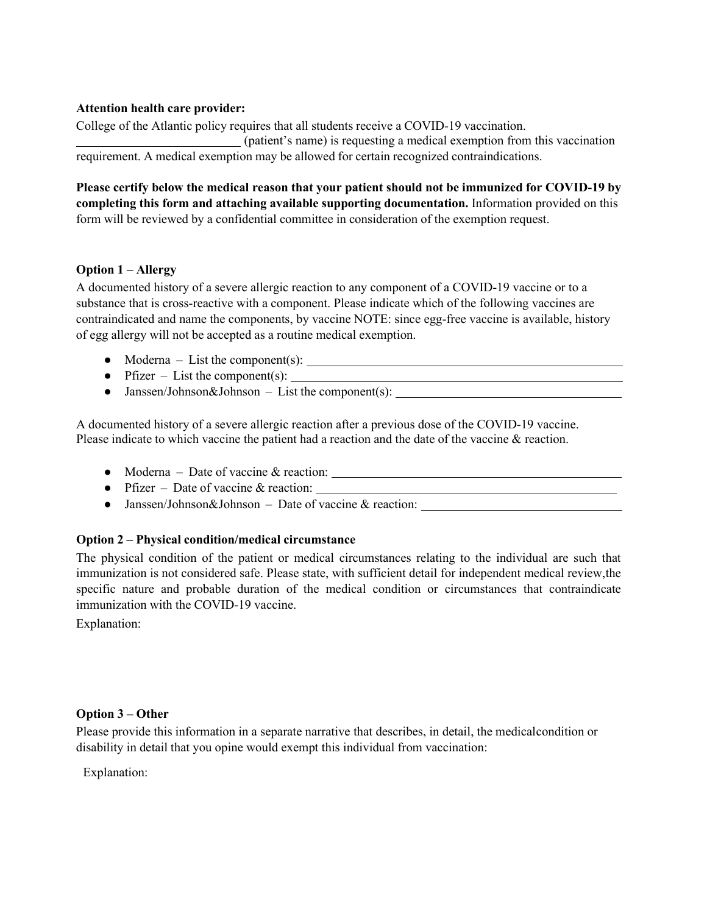#### **Attention health care provider:**

College of the Atlantic policy requires that all students receive a COVID-19 vaccination. (patient's name) is requesting a medical exemption from this vaccination requirement. A medical exemption may be allowed for certain recognized contraindications.

**Please certify below the medical reason that your patient should not be immunized for COVID-19 by completing this form and attaching available supporting documentation.** Information provided on this form will be reviewed by a confidential committee in consideration of the exemption request.

## **Option 1 – Allergy**

A documented history of a severe allergic reaction to any component of a COVID-19 vaccine or to a substance that is cross-reactive with a component. Please indicate which of the following vaccines are contraindicated and name the components, by vaccine NOTE: since egg-free vaccine is available, history of egg allergy will not be accepted as a routine medical exemption.

- Moderna List the component(s):
- Pfizer List the component(s):
- Janssen/Johnson&Johnson List the component(s):

A documented history of a severe allergic reaction after a previous dose of the COVID-19 vaccine. Please indicate to which vaccine the patient had a reaction and the date of the vaccine & reaction.

- Moderna Date of vaccine & reaction:
- Pfizer Date of vaccine  $\&$  reaction:
- Janssen/Johnson&Johnson Date of vaccine & reaction:

## **Option 2 – Physical condition/medical circumstance**

The physical condition of the patient or medical circumstances relating to the individual are such that immunization is not considered safe. Please state, with sufficient detail for independent medical review,the specific nature and probable duration of the medical condition or circumstances that contraindicate immunization with the COVID-19 vaccine.

Explanation:

#### **Option 3 – Other**

Please provide this information in a separate narrative that describes, in detail, the medicalcondition or disability in detail that you opine would exempt this individual from vaccination:

Explanation: